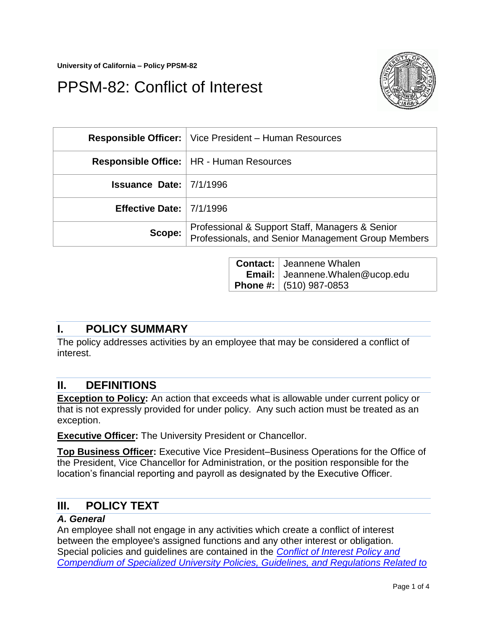# PPSM-82: Conflict of Interest



|                                   | <b>Responsible Officer:</b>   Vice President – Human Resources                                        |
|-----------------------------------|-------------------------------------------------------------------------------------------------------|
|                                   | <b>Responsible Office:   HR - Human Resources</b>                                                     |
| <b>Issuance Date:</b> $ 7/1/1996$ |                                                                                                       |
| Effective Date: $ 7/1/1996$       |                                                                                                       |
| Scope: $ $                        | Professional & Support Staff, Managers & Senior<br>Professionals, and Senior Management Group Members |

**Contact: Email: Phone #:** (510) 987-0853 Jeannene Whalen Jeannene.Whalen@ucop.edu

## **I. POLICY SUMMARY**

The policy addresses activities by an employee that may be considered a conflict of interest.

## **II. DEFINITIONS**

**Exception to Policy:** An action that exceeds what is allowable under current policy or that is not expressly provided for under policy. Any such action must be treated as an exception.

**Executive Officer:** The University President or Chancellor.

**Top Business Officer:** Executive Vice President–Business Operations for the Office of the President, Vice Chancellor for Administration, or the position responsible for the location's financial reporting and payroll as designated by the Executive Officer.

## **III. POLICY TEXT**

#### *A. General*

An employee shall not engage in any activities which create a conflict of interest between the employee's assigned functions and any other interest or obligation. Special policies and guidelines are contained in the *[Conflict of Interest Policy and](http://www.ucop.edu/ucophome/policies/bfb/g39.pdf)  [Compendium of Specialized University Policies, Guidelines, and Regulations Related to](http://www.ucop.edu/ucophome/policies/bfb/g39.pdf)*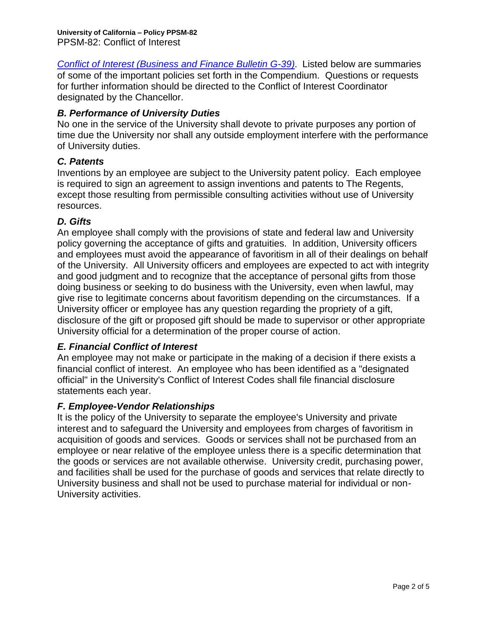*Conflict of Interest [\(Business and Finance Bulletin G-39\)](http://www.ucop.edu/ucophome/policies/bfb/g39.pdf)*. Listed below are summaries of some of the important policies set forth in the Compendium. Questions or requests for further information should be directed to the Conflict of Interest Coordinator designated by the Chancellor.

## *B. Performance of University Duties*

No one in the service of the University shall devote to private purposes any portion of time due the University nor shall any outside employment interfere with the performance of University duties.

## *C. Patents*

Inventions by an employee are subject to the University patent policy. Each employee is required to sign an agreement to assign inventions and patents to The Regents, except those resulting from permissible consulting activities without use of University resources.

## *D. Gifts*

An employee shall comply with the provisions of state and federal law and University policy governing the acceptance of gifts and gratuities. In addition, University officers and employees must avoid the appearance of favoritism in all of their dealings on behalf of the University. All University officers and employees are expected to act with integrity and good judgment and to recognize that the acceptance of personal gifts from those doing business or seeking to do business with the University, even when lawful, may give rise to legitimate concerns about favoritism depending on the circumstances. If a University officer or employee has any question regarding the propriety of a gift, disclosure of the gift or proposed gift should be made to supervisor or other appropriate University official for a determination of the proper course of action.

### *E. Financial Conflict of Interest*

An employee may not make or participate in the making of a decision if there exists a financial conflict of interest. An employee who has been identified as a "designated official" in the University's Conflict of Interest Codes shall file financial disclosure statements each year.

### *F. Employee-Vendor Relationships*

It is the policy of the University to separate the employee's University and private interest and to safeguard the University and employees from charges of favoritism in acquisition of goods and services. Goods or services shall not be purchased from an employee or near relative of the employee unless there is a specific determination that the goods or services are not available otherwise. University credit, purchasing power, and facilities shall be used for the purchase of goods and services that relate directly to University business and shall not be used to purchase material for individual or non-University activities.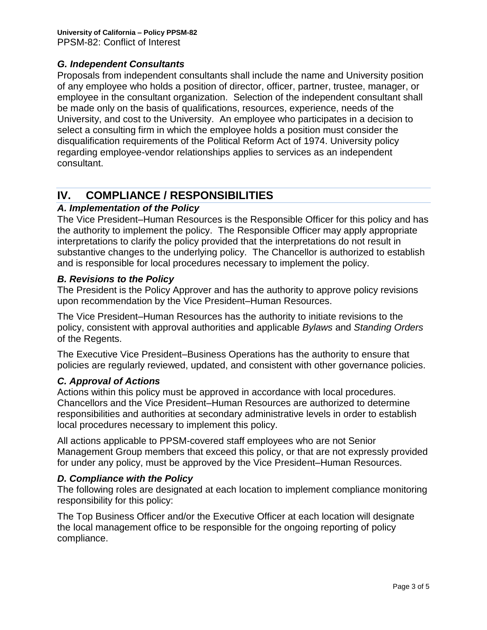## *G. Independent Consultants*

Proposals from independent consultants shall include the name and University position of any employee who holds a position of director, officer, partner, trustee, manager, or employee in the consultant organization. Selection of the independent consultant shall be made only on the basis of qualifications, resources, experience, needs of the University, and cost to the University. An employee who participates in a decision to select a consulting firm in which the employee holds a position must consider the disqualification requirements of the Political Reform Act of 1974. University policy regarding employee-vendor relationships applies to services as an independent consultant.

# **IV. COMPLIANCE / RESPONSIBILITIES**

### *A. Implementation of the Policy*

The Vice President–Human Resources is the Responsible Officer for this policy and has the authority to implement the policy. The Responsible Officer may apply appropriate interpretations to clarify the policy provided that the interpretations do not result in substantive changes to the underlying policy. The Chancellor is authorized to establish and is responsible for local procedures necessary to implement the policy.

#### *B. Revisions to the Policy*

The President is the Policy Approver and has the authority to approve policy revisions upon recommendation by the Vice President–Human Resources.

The Vice President–Human Resources has the authority to initiate revisions to the policy, consistent with approval authorities and applicable *Bylaws* and *Standing Orders*  of the Regents.

The Executive Vice President–Business Operations has the authority to ensure that policies are regularly reviewed, updated, and consistent with other governance policies.

### *C. Approval of Actions*

Actions within this policy must be approved in accordance with local procedures. Chancellors and the Vice President–Human Resources are authorized to determine responsibilities and authorities at secondary administrative levels in order to establish local procedures necessary to implement this policy.

All actions applicable to PPSM-covered staff employees who are not Senior Management Group members that exceed this policy, or that are not expressly provided for under any policy, must be approved by the Vice President–Human Resources.

#### *D. Compliance with the Policy*

The following roles are designated at each location to implement compliance monitoring responsibility for this policy:

The Top Business Officer and/or the Executive Officer at each location will designate the local management office to be responsible for the ongoing reporting of policy compliance.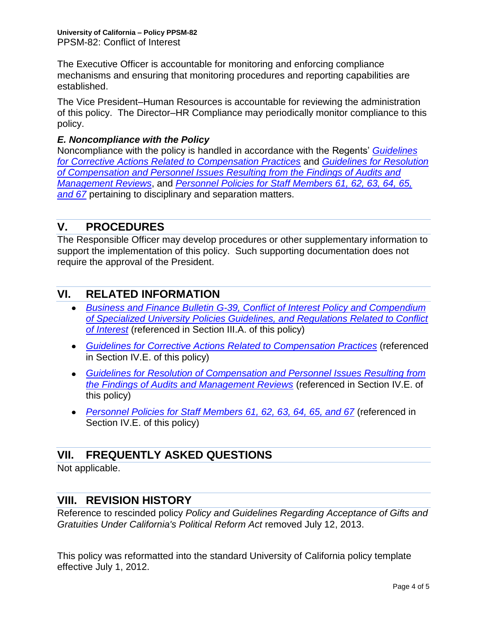The Executive Officer is accountable for monitoring and enforcing compliance mechanisms and ensuring that monitoring procedures and reporting capabilities are established.

The Vice President–Human Resources is accountable for reviewing the administration of this policy. The Director–HR Compliance may periodically monitor compliance to this policy.

## *E. Noncompliance with the Policy*

Noncompliance with the policy is handled in accordance with the Regents' *[Guidelines](http://atyourservice.ucop.edu/employees/policies_employee_labor_relations/corrective_guidelines.pdf)  [for Corrective Actions Related to Compensation Practices](http://atyourservice.ucop.edu/employees/policies_employee_labor_relations/corrective_guidelines.pdf)* and *[Guidelines for Resolution](http://atyourservice.ucop.edu/employees/policies_employee_labor_relations/resolution_guidlines.pdf)  [of Compensation and Personnel Issues Resulting from the Findings of Audits and](http://atyourservice.ucop.edu/employees/policies_employee_labor_relations/resolution_guidlines.pdf)  [Management Reviews](http://atyourservice.ucop.edu/employees/policies_employee_labor_relations/resolution_guidlines.pdf)*, and *[Personnel Policies for Staff Members 61, 62, 63, 64, 65,](http://atyourservice.ucop.edu/employees/policies_employee_labor_relations/personnel_policies/index.html)  [and 67](http://atyourservice.ucop.edu/employees/policies_employee_labor_relations/personnel_policies/index.html)* pertaining to disciplinary and separation matters.

# **V. PROCEDURES**

The Responsible Officer may develop procedures or other supplementary information to support the implementation of this policy. Such supporting documentation does not require the approval of the President.

# **VI. RELATED INFORMATION**

- *Business and Finance Bulletin [G-39, Conflict of Interest Policy and Compendium](http://www.ucop.edu/ucophome/policies/bfb/g39.pdf)  [of Specialized University Policies Guidelines, and Regulations Related to Conflict](http://www.ucop.edu/ucophome/policies/bfb/g39.pdf)  [of Interest](http://www.ucop.edu/ucophome/policies/bfb/g39.pdf)* (referenced in Section III.A. of this policy)
- *[Guidelines for Corrective Actions Related to Compensation Practices](http://atyourservice.ucop.edu/employees/policies_employee_labor_relations/corrective_guidelines.pdf)* (referenced in Section IV.E. of this policy)
- *[Guidelines for Resolution of Compensation and Personnel Issues Resulting from](http://atyourservice.ucop.edu/employees/policies_employee_labor_relations/resolution_guidlines.pdf)  [the Findings of Audits and Management Reviews](http://atyourservice.ucop.edu/employees/policies_employee_labor_relations/resolution_guidlines.pdf)* (referenced in Section IV.E. of this policy)
- *[Personnel Policies for Staff Members 61, 62, 63, 64, 65, and 67](http://atyourservice.ucop.edu/employees/policies_employee_labor_relations/personnel_policies/index.html)* (referenced in Section IV.E. of this policy)

## **VII. FREQUENTLY ASKED QUESTIONS**

Not applicable.

## **VIII. REVISION HISTORY**

Reference to rescinded policy *Policy and Guidelines Regarding Acceptance of Gifts and Gratuities Under California's Political Reform Act* removed July 12, 2013.

This policy was reformatted into the standard University of California policy template effective July 1, 2012.